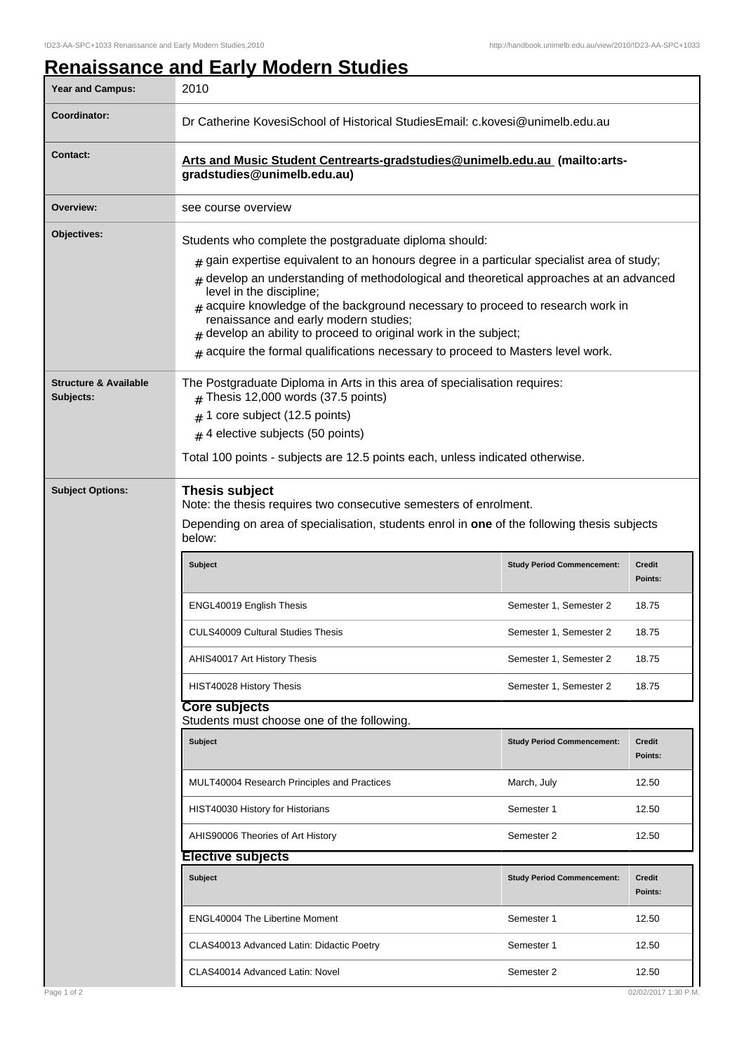**Structure & Available**

**Subjects:**

## **Renaissance and Early Modern Studies** Year and Campus: 2010 **Coordinator:** Dr Catherine KovesiSchool of Historical StudiesEmail: c.kovesi@unimelb.edu.au **Contact: Arts and Music Student Centrearts-gradstudies@unimelb.edu.au (mailto:artsgradstudies@unimelb.edu.au) Overview:** see course overview **Objectives:** Students who complete the postgraduate diploma should:  $_{\rm \#}$  gain expertise equivalent to an honours degree in a particular specialist area of study; # develop an understanding of methodological and theoretical approaches at an advanced level in the discipline;  ${}_{\#}$  acquire knowledge of the background necessary to proceed to research work in renaissance and early modern studies;  $_{\#}$  develop an ability to proceed to original work in the subject;  ${}_{\#}$  acquire the formal qualifications necessary to proceed to Masters level work.

 $#$  Thesis 12,000 words (37.5 points)

 $_{\rm \#}$  1 core subject (12.5 points)  $_{\#}$  4 elective subjects (50 points)

| <b>Subject Options:</b> | Thesis subject<br>Note: the thesis requires two consecutive semesters of enrolment.<br>Depending on area of specialisation, students enrol in one of the following thesis subjects<br>below: |                                   |                          |  |
|-------------------------|----------------------------------------------------------------------------------------------------------------------------------------------------------------------------------------------|-----------------------------------|--------------------------|--|
|                         | <b>Subject</b>                                                                                                                                                                               | <b>Study Period Commencement:</b> | <b>Credit</b><br>Points: |  |
|                         | <b>ENGL40019 English Thesis</b>                                                                                                                                                              | Semester 1, Semester 2            | 18.75                    |  |
|                         | <b>CULS40009 Cultural Studies Thesis</b>                                                                                                                                                     | Semester 1, Semester 2            | 18.75                    |  |
|                         | AHIS40017 Art History Thesis                                                                                                                                                                 | Semester 1, Semester 2            | 18.75                    |  |
|                         | HIST40028 History Thesis                                                                                                                                                                     | Semester 1, Semester 2            | 18.75                    |  |

The Postgraduate Diploma in Arts in this area of specialisation requires:

Total 100 points - subjects are 12.5 points each, unless indicated otherwise.

## **Core subjects**

**Elective subjects**

Students must choose one of the following.

| <b>Subject</b>                              | <b>Study Period Commencement:</b> | <b>Credit</b><br>Points: |
|---------------------------------------------|-----------------------------------|--------------------------|
| MULT40004 Research Principles and Practices | March, July                       | 12.50                    |
| HIST40030 History for Historians            | Semester 1                        | 12.50                    |
| AHIS90006 Theories of Art History           | Semester 2                        | 12.50                    |

| <b>Subject</b>                            | <b>Study Period Commencement:</b> | <b>Credit</b><br>Points: |
|-------------------------------------------|-----------------------------------|--------------------------|
| <b>ENGL40004 The Libertine Moment</b>     | Semester 1                        | 12.50                    |
| CLAS40013 Advanced Latin: Didactic Poetry | Semester 1                        | 12.50                    |
| CLAS40014 Advanced Latin: Novel           | Semester 2                        | 12.50                    |